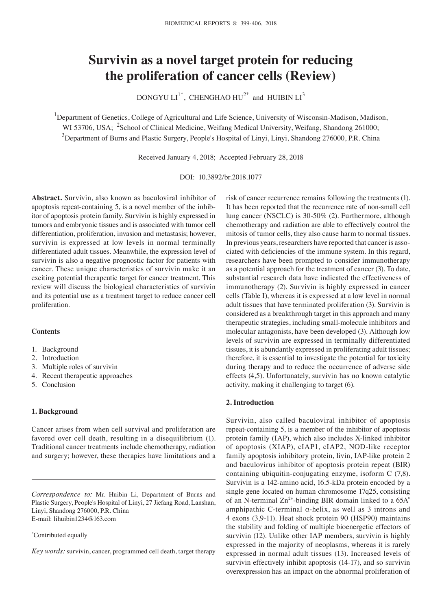# **Survivin as a novel target protein for reducing the proliferation of cancer cells (Review)**

DONGYU  $LI^{1*}$ , CHENGHAO HU<sup>2\*</sup> and HUIBIN  $LI^{3}$ 

<sup>1</sup>Department of Genetics, College of Agricultural and Life Science, University of Wisconsin-Madison, Madison, WI 53706, USA; <sup>2</sup>School of Clinical Medicine, Weifang Medical University, Weifang, Shandong 261000;  $^3$ Department of Burns and Plastic Surgery, People's Hospital of Linyi, Linyi, Shandong 276000, P.R. China

Received January 4, 2018; Accepted February 28, 2018

DOI: 10.3892/br.2018.1077

**Abstract.** Survivin, also known as baculoviral inhibitor of apoptosis repeat-containing 5, is a novel member of the inhibitor of apoptosis protein family. Survivin is highly expressed in tumors and embryonic tissues and is associated with tumor cell differentiation, proliferation, invasion and metastasis; however, survivin is expressed at low levels in normal terminally differentiated adult tissues. Meanwhile, the expression level of survivin is also a negative prognostic factor for patients with cancer. These unique characteristics of survivin make it an exciting potential therapeutic target for cancer treatment. This review will discuss the biological characteristics of survivin and its potential use as a treatment target to reduce cancer cell proliferation.

## **Contents**

- 1. Background
- 2. Introduction
- 3. Multiple roles of survivin
- 4. Recent therapeutic approaches
- 5. Conclusion

### **1. Background**

Cancer arises from when cell survival and proliferation are favored over cell death, resulting in a disequilibrium (1). Traditional cancer treatments include chemotherapy, radiation and surgery; however, these therapies have limitations and a

*Correspondence to:* Mr. Huibin Li, Department of Burns and Plastic Surgery, People's Hospital of Linyi, 27 Jiefang Road, Lanshan, Linyi, Shandong 276000, P.R. China E-mail: lihuibin1234@163.com

\* Contributed equally

*Key words:* survivin, cancer, programmed cell death, target therapy

risk of cancer recurrence remains following the treatments (1). It has been reported that the recurrence rate of non-small cell lung cancer (NSCLC) is 30-50% (2). Furthermore, although chemotherapy and radiation are able to effectively control the mitosis of tumor cells, they also cause harm to normal tissues. In previous years, researchers have reported that cancer is associated with deficiencies of the immune system. In this regard, researchers have been prompted to consider immunotherapy as a potential approach for the treatment of cancer (3). To date, substantial research data have indicated the effectiveness of immunotherapy (2). Survivin is highly expressed in cancer cells (Table I), whereas it is expressed at a low level in normal adult tissues that have terminated proliferation (3). Survivin is considered as a breakthrough target in this approach and many therapeutic strategies, including small-molecule inhibitors and molecular antagonists, have been developed (3). Although low levels of survivin are expressed in terminally differentiated tissues, it is abundantly expressed in proliferating adult tissues; therefore, it is essential to investigate the potential for toxicity during therapy and to reduce the occurrence of adverse side effects (4,5). Unfortunately, survivin has no known catalytic activity, making it challenging to target (6).

### **2. Introduction**

Survivin, also called baculoviral inhibitor of apoptosis repeat-containing 5, is a member of the inhibitor of apoptosis protein family (IAP), which also includes X-linked inhibitor of apoptosis (XIAP), cIAP1, cIAP2, NOD-like receptor family apoptosis inhibitory protein, livin, IAP-like protein 2 and baculovirus inhibitor of apoptosis protein repeat (BIR) containing ubiquitin-conjugating enzyme, isoform C (7,8). Survivin is a 142-amino acid, 16.5-kDa protein encoded by a single gene located on human chromosome 17q25, consisting of an N-terminal  $Zn^{2+}$ -binding BIR domain linked to a 65A $\degree$ amphipathic C-terminal  $\alpha$ -helix, as well as 3 introns and 4 exons (3,9-11). Heat shock protein 90 (HSP90) maintains the stability and folding of multiple bioenergetic effectors of survivin (12). Unlike other IAP members, survivin is highly expressed in the majority of neoplasms, whereas it is rarely expressed in normal adult tissues (13). Increased levels of survivin effectively inhibit apoptosis (14-17), and so survivin overexpression has an impact on the abnormal proliferation of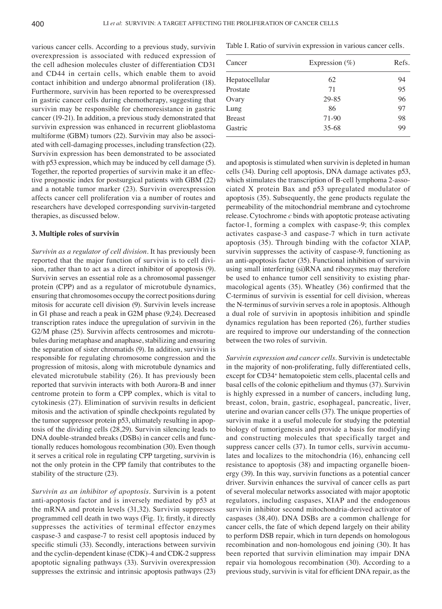various cancer cells. According to a previous study, survivin overexpression is associated with reduced expression of the cell adhesion molecules cluster of differentiation CD31 and CD44 in certain cells, which enable them to avoid contact inhibition and undergo abnormal proliferation (18). Furthermore, survivin has been reported to be overexpressed in gastric cancer cells during chemotherapy, suggesting that survivin may be responsible for chemoresistance in gastric cancer (19-21). In addition, a previous study demonstrated that survivin expression was enhanced in recurrent glioblastoma multiforme (GBM) tumors (22). Survivin may also be associated with cell-damaging processes, including transfection (22). Survivin expression has been demonstrated to be associated with p53 expression, which may be induced by cell damage (5). Together, the reported properties of survivin make it an effective prognostic index for postsurgical patients with GBM (22) and a notable tumor marker (23). Survivin overexpression affects cancer cell proliferation via a number of routes and researchers have developed corresponding survivin-targeted therapies, as discussed below.

### **3. Multiple roles of survivin**

*Survivin as a regulator of cell division.* It has previously been reported that the major function of survivin is to cell division, rather than to act as a direct inhibitor of apoptosis (9). Survivin serves an essential role as a chromosomal passenger protein (CPP) and as a regulator of microtubule dynamics, ensuring that chromosomes occupy the correct positions during mitosis for accurate cell division (9). Survivin levels increase in G1 phase and reach a peak in G2M phase (9,24). Decreased transcription rates induce the upregulation of survivin in the G2/M phase (25). Survivin affects centrosomes and microtubules during metaphase and anaphase, stabilizing and ensuring the separation of sister chromatids (9). In addition, survivin is responsible for regulating chromosome congression and the progression of mitosis, along with microtubule dynamics and elevated microtubule stability (26). It has previously been reported that survivin interacts with both Aurora-B and inner centrome protein to form a CPP complex, which is vital to cytokinesis (27). Elimination of survivin results in deficient mitosis and the activation of spindle checkpoints regulated by the tumor suppressor protein p53, ultimately resulting in apoptosis of the dividing cells (28,29). Survivin silencing leads to DNA double-stranded breaks (DSBs) in cancer cells and functionally reduces homologous recombination (30). Even though it serves a critical role in regulating CPP targeting, survivin is not the only protein in the CPP family that contributes to the stability of the structure (23).

*Survivin as an inhibitor of apoptosis.* Survivin is a potent anti-apoptosis factor and is inversely mediated by p53 at the mRNA and protein levels (31,32). Survivin suppresses programmed cell death in two ways (Fig. 1); firstly, it directly suppresses the activities of terminal effector enzymes caspase-3 and caspase-7 to resist cell apoptosis induced by specific stimuli (33). Secondly, interactions between survivin and the cyclin-dependent kinase (CDK)-4 and CDK-2 suppress apoptotic signaling pathways (33). Survivin overexpression suppresses the extrinsic and intrinsic apoptosis pathways (23)

Table I. Ratio of survivin expression in various cancer cells.

| Cancer         | Expression $(\% )$ | Refs. |
|----------------|--------------------|-------|
| Hepatocellular | 62                 | 94    |
| Prostate       | 71                 | 95    |
| Ovary          | 29-85              | 96    |
| Lung           | 86                 | 97    |
| <b>Breast</b>  | 71-90              | 98    |
| Gastric        | $35 - 68$          | 99    |

and apoptosis is stimulated when survivin is depleted in human cells (34). During cell apoptosis, DNA damage activates p53, which stimulates the transcription of B-cell lymphoma 2-associated X protein Bax and p53 upregulated modulator of apoptosis (35). Subsequently, the gene products regulate the permeability of the mitochondrial membrane and cytochrome release. Cytochrome *c* binds with apoptotic protease activating factor-1, forming a complex with caspase-9; this complex activates caspase-3 and caspase-7 which in turn activate apoptosis (35). Through binding with the cofactor XIAP, survivin suppresses the activity of caspase-9, functioning as an anti-apoptosis factor (35). Functional inhibition of survivin using small interfering (si)RNA and ribozymes may therefore be used to enhance tumor cell sensitivity to existing pharmacological agents (35). Wheatley (36) confirmed that the C-terminus of survivin is essential for cell division, whereas the N-terminus of survivin serves a role in apoptosis. Although a dual role of survivin in apoptosis inhibition and spindle dynamics regulation has been reported (26), further studies are required to improve our understanding of the connection between the two roles of survivin.

*Survivin expression and cancer cells.* Survivin is undetectable in the majority of non-proliferating, fully differentiated cells, except for CD34+ hematopoietic stem cells, placental cells and basal cells of the colonic epithelium and thymus (37). Survivin is highly expressed in a number of cancers, including lung, breast, colon, brain, gastric, esophageal, pancreatic, liver, uterine and ovarian cancer cells (37). The unique properties of survivin make it a useful molecule for studying the potential biology of tumorigenesis and provide a basis for modifying and constructing molecules that specifically target and suppress cancer cells (37). In tumor cells, survivin accumulates and localizes to the mitochondria (16), enhancing cell resistance to apoptosis (38) and impacting organelle bioenergy (39). In this way, survivin functions as a potential cancer driver. Survivin enhances the survival of cancer cells as part of several molecular networks associated with major apoptotic regulators, including caspases, XIAP and the endogenous survivin inhibitor second mitochondria-derived activator of caspases (38,40). DNA DSBs are a common challenge for cancer cells, the fate of which depend largely on their ability to perform DSB repair, which in turn depends on homologous recombination and non-homologous end joining (30). It has been reported that survivin elimination may impair DNA repair via homologous recombination (30). According to a previous study, survivin is vital for efficient DNA repair, as the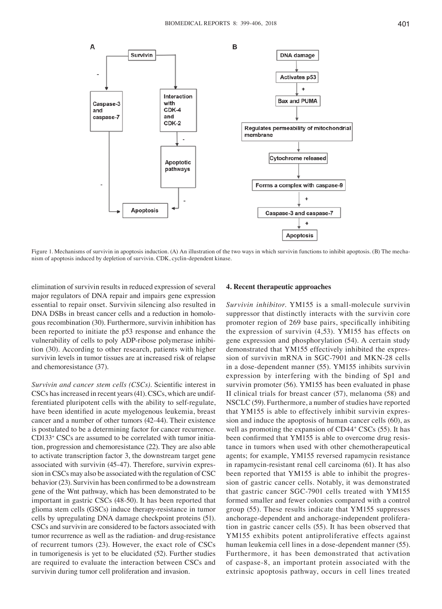

Figure 1. Mechanisms of survivin in apoptosis induction. (A) An illustration of the two ways in which survivin functions to inhibit apoptosis. (B) The mechanism of apoptosis induced by depletion of survivin. CDK, cyclin-dependent kinase.

elimination of survivin results in reduced expression of several major regulators of DNA repair and impairs gene expression essential to repair onset. Survivin silencing also resulted in DNA DSBs in breast cancer cells and a reduction in homologous recombination (30). Furthermore, survivin inhibition has been reported to initiate the p53 response and enhance the vulnerability of cells to poly ADP-ribose polymerase inhibition (30). According to other research, patients with higher survivin levels in tumor tissues are at increased risk of relapse and chemoresistance (37).

*Survivin and cancer stem cells (CSCs).* Scientific interest in CSCs has increased in recent years(41). CSCs, which are undifferentiated pluripotent cells with the ability to self-regulate, have been identified in acute myelogenous leukemia, breast cancer and a number of other tumors (42-44). Their existence is postulated to be a determining factor for cancer recurrence. CD133+ CSCs are assumed to be correlated with tumor initiation, progression and chemoresistance (22). They are also able to activate transcription factor 3, the downstream target gene associated with survivin (45-47). Therefore, survivin expression in CSCs may also be associated with the regulation of CSC behavior (23). Survivin has been confirmed to be a downstream gene of the Wnt pathway, which has been demonstrated to be important in gastric CSCs (48-50). It has been reported that glioma stem cells (GSCs) induce therapy-resistance in tumor cells by upregulating DNA damage checkpoint proteins (51). CSCs and survivin are considered to be factors associated with tumor recurrence as well as the radiation- and drug-resistance of recurrent tumors (23). However, the exact role of CSCs in tumorigenesis is yet to be elucidated (52). Further studies are required to evaluate the interaction between CSCs and survivin during tumor cell proliferation and invasion.

## **4. Recent therapeutic approaches**

*Survivin inhibitor.* YM155 is a small-molecule survivin suppressor that distinctly interacts with the survivin core promoter region of 269 base pairs, specifically inhibiting the expression of survivin (4,53). YM155 has effects on gene expression and phosphorylation (54). A certain study demonstrated that YM155 effectively inhibited the expression of survivin mRNA in SGC-7901 and MKN-28 cells in a dose-dependent manner (55). YM155 inhibits survivin expression by interfering with the binding of Sp1 and survivin promoter (56). YM155 has been evaluated in phase II clinical trials for breast cancer (57), melanoma (58) and NSCLC (59). Furthermore, a number of studies have reported that YM155 is able to effectively inhibit survivin expression and induce the apoptosis of human cancer cells (60), as well as promoting the expansion of CD44<sup>+</sup> CSCs (55). It has been confirmed that YM155 is able to overcome drug resistance in tumors when used with other chemotherapeutical agents; for example, YM155 reversed rapamycin resistance in rapamycin-resistant renal cell carcinoma (61). It has also been reported that YM155 is able to inhibit the progression of gastric cancer cells. Notably, it was demonstrated that gastric cancer SGC-7901 cells treated with YM155 formed smaller and fewer colonies compared with a control group (55). These results indicate that YM155 suppresses anchorage-dependent and anchorage-independent proliferation in gastric cancer cells (55). It has been observed that YM155 exhibits potent antiproliferative effects against human leukemia cell lines in a dose-dependent manner (55). Furthermore, it has been demonstrated that activation of caspase-8, an important protein associated with the extrinsic apoptosis pathway, occurs in cell lines treated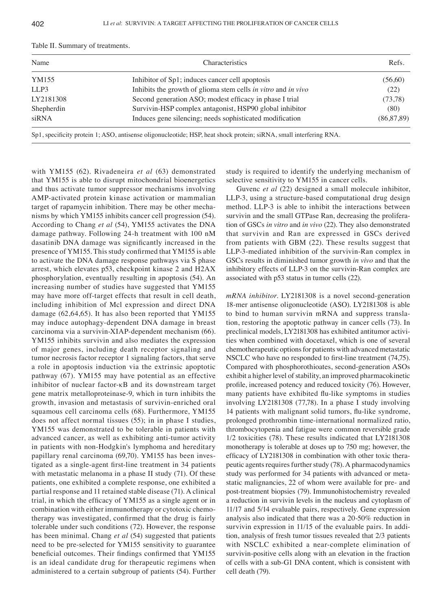| Name       | Characteristics                                               | Refs.        |
|------------|---------------------------------------------------------------|--------------|
| YM155      | Inhibitor of Sp1; induces cancer cell apoptosis               | (56,60)      |
| LLP3       | Inhibits the growth of glioma stem cells in vitro and in vivo | (22)         |
| LY2181308  | Second generation ASO; modest efficacy in phase I trial       | (73, 78)     |
| Shepherdin | Survivin-HSP complex antagonist, HSP90 global inhibitor       | (80)         |
| siRNA      | Induces gene silencing; needs sophisticated modification      | (86, 87, 89) |

Table II. Summary of treatments.

with YM155 (62). Rivadeneira *et al* (63) demonstrated that YM155 is able to disrupt mitochondrial bioenergetics and thus activate tumor suppressor mechanisms involving AMP-activated protein kinase activation or mammalian target of rapamycin inhibition. There may be other mechanisms by which YM155 inhibits cancer cell progression (54). According to Chang *et al* (54), YM155 activates the DNA damage pathway. Following 24-h treatment with 100 nM dasatinib DNA damage was significantly increased in the presence of YM155. This study confirmed that YM155 is able to activate the DNA damage response pathways via S phase arrest, which elevates p53, checkpoint kinase 2 and H2AX phosphorylation, eventually resulting in apoptosis (54). An increasing number of studies have suggested that YM155 may have more off-target effects that result in cell death, including inhibition of Mcl expression and direct DNA damage (62,64,65). It has also been reported that YM155 may induce autophagy-dependent DNA damage in breast carcinoma via a survivin-XIAP-dependent mechanism (66). YM155 inhibits survivin and also mediates the expression of major genes, including death receptor signaling and tumor necrosis factor receptor 1 signaling factors, that serve a role in apoptosis induction via the extrinsic apoptotic pathway (67). YM155 may have potential as an effective inhibitor of nuclear factor-κB and its downstream target gene matrix metalloproteinase-9, which in turn inhibits the growth, invasion and metastasis of survivin-enriched oral squamous cell carcinoma cells (68). Furthermore, YM155 does not affect normal tissues (55); in in phase I studies, YM155 was demonstrated to be tolerable in patients with advanced cancer, as well as exhibiting anti-tumor activity in patients with non-Hodgkin's lymphoma and hereditary papillary renal carcinoma (69,70). YM155 has been investigated as a single‑agent first‑line treatment in 34 patients with metastatic melanoma in a phase II study (71). Of these patients, one exhibited a complete response, one exhibited a partial response and 11 retained stable disease (71). A clinical trial, in which the efficacy of YM155 as a single agent or in combination with either immunotherapy or cytotoxic chemotherapy was investigated, confirmed that the drug is fairly tolerable under such conditions (72). However, the response has been minimal. Chang *et al* (54) suggested that patients need to be pre-selected for YM155 sensitivity to guarantee beneficial outcomes. Their findings confirmed that YM155 is an ideal candidate drug for therapeutic regimens when administered to a certain subgroup of patients (54). Further study is required to identify the underlying mechanism of selective sensitivity to YM155 in cancer cells.

Guvenc *et al* (22) designed a small molecule inhibitor, LLP-3, using a structure-based computational drug design method. LLP-3 is able to inhibit the interactions between survivin and the small GTPase Ran, decreasing the proliferation of GSCs *in vitro* and *in vivo* (22). They also demonstrated that survivin and Ran are expressed in GSCs derived from patients with GBM (22). These results suggest that LLP-3-mediated inhibition of the survivin-Ran complex in GSCs results in diminished tumor growth *in vivo* and that the inhibitory effects of LLP-3 on the survivin-Ran complex are associated with p53 status in tumor cells (22).

*mRNA inhibitor.* LY2181308 is a novel second-generation 18-mer antisense oligonucleotide (ASO). LY2181308 is able to bind to human survivin mRNA and suppress translation, restoring the apoptotic pathway in cancer cells (73). In preclinical models, LY2181308 has exhibited antitumor activities when combined with docetaxel, which is one of several chemotherapeutic options for patients with advanced metastatic NSCLC who have no responded to first-line treatment (74,75). Compared with phosphorothioates, second-generation ASOs exhibit a higher level of stability, an improved pharmacokinetic profile, increased potency and reduced toxicity (76). However, many patients have exhibited flu-like symptoms in studies involving LY2181308 (77,78). In a phase I study involving 14 patients with malignant solid tumors, flu-like syndrome, prolonged prothrombin time-international normalized ratio, thrombocytopenia and fatigue were common reversible grade 1/2 toxicities (78). These results indicated that LY2181308 monotherapy is tolerable at doses up to 750 mg; however, the efficacy of LY2181308 in combination with other toxic therapeutic agents requires further study (78). A pharmacodynamics study was performed for 34 patients with advanced or metastatic malignancies, 22 of whom were available for pre- and post-treatment biopsies (79). Immunohistochemistry revealed a reduction in survivin levels in the nucleus and cytoplasm of 11/17 and 5/14 evaluable pairs, respectively. Gene expression analysis also indicated that there was a 20-50% reduction in survivin expression in 11/15 of the evaluable pairs. In addition, analysis of fresh tumor tissues revealed that 2/3 patients with NSCLC exhibited a near-complete elimination of survivin-positive cells along with an elevation in the fraction of cells with a sub-G1 DNA content, which is consistent with cell death (79).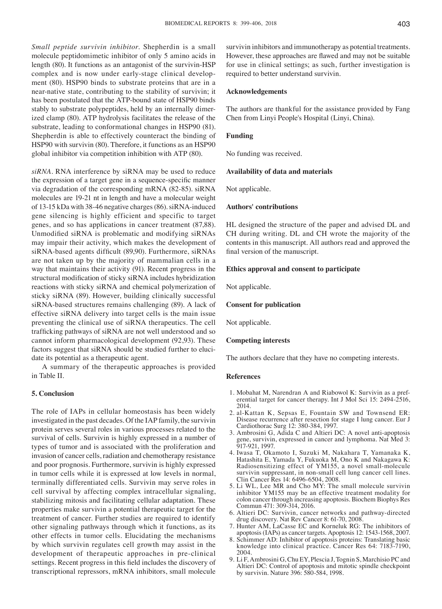*Small peptide survivin inhibitor.* Shepherdin is a small molecule peptidomimetic inhibitor of only 5 amino acids in length (80). It functions as an antagonist of the survivin-HSP complex and is now under early-stage clinical development (80). HSP90 binds to substrate proteins that are in a near-native state, contributing to the stability of survivin; it has been postulated that the ATP-bound state of HSP90 binds stably to substrate polypeptides, held by an internally dimerized clamp (80). ATP hydrolysis facilitates the release of the substrate, leading to conformational changes in HSP90 (81). Shepherdin is able to effectively counteract the binding of HSP90 with survivin (80). Therefore, it functions as an HSP90 global inhibitor via competition inhibition with ATP (80).

*siRNA.* RNA interference by siRNA may be used to reduce the expression of a target gene in a sequence‑specific manner via degradation of the corresponding mRNA (82-85). siRNA molecules are 19-21 nt in length and have a molecular weight of 13-15 kDa with 38-46 negative charges(86). siRNA-induced gene silencing is highly efficient and specific to target genes, and so has applications in cancer treatment (87,88). Unmodified siRNA is problematic and modifying siRNAs may impair their activity, which makes the development of siRNA-based agents difficult (89,90). Furthermore, siRNAs are not taken up by the majority of mammalian cells in a way that maintains their activity (91). Recent progress in the structural modification of sticky siRNA includes hybridization reactions with sticky siRNA and chemical polymerization of sticky siRNA (89). However, building clinically successful siRNA-based structures remains challenging (89). A lack of effective siRNA delivery into target cells is the main issue preventing the clinical use of siRNA therapeutics. The cell trafficking pathways of siRNA are not well understood and so cannot inform pharmacological development (92,93). These factors suggest that siRNA should be studied further to elucidate its potential as a therapeutic agent.

A summary of the therapeutic approaches is provided in Table II.

#### **5. Conclusion**

The role of IAPs in cellular homeostasis has been widely investigated in the past decades. Of the IAP family, the survivin protein serves several roles in various processes related to the survival of cells. Survivin is highly expressed in a number of types of tumor and is associated with the proliferation and invasion of cancer cells, radiation and chemotherapy resistance and poor prognosis. Furthermore, survivin is highly expressed in tumor cells while it is expressed at low levels in normal, terminally differentiated cells. Survivin may serve roles in cell survival by affecting complex intracellular signaling, stabilizing mitosis and facilitating cellular adaptation. These properties make survivin a potential therapeutic target for the treatment of cancer. Further studies are required to identify other signaling pathways through which it functions, as its other effects in tumor cells. Elucidating the mechanisms by which survivin regulates cell growth may assist in the development of therapeutic approaches in pre-clinical settings. Recent progress in this field includes the discovery of transcriptional repressors, mRNA inhibitors, small molecule

survivin inhibitors and immunotherapy as potential treatments. However, these approaches are flawed and may not be suitable for use in clinical settings; as such, further investigation is required to better understand survivin.

### **Acknowledgements**

The authors are thankful for the assistance provided by Fang Chen from Linyi People's Hospital (Linyi, China).

#### **Funding**

No funding was received.

#### **Availability of data and materials**

Not applicable.

### **Authors' contributions**

HL designed the structure of the paper and advised DL and CH during writing. DL and CH wrote the majority of the contents in this manuscript. All authors read and approved the final version of the manuscript.

#### **Ethics approval and consent to participate**

Not applicable.

#### **Consent for publication**

Not applicable.

### **Competing interests**

The authors declare that they have no competing interests.

#### **References**

- 1. Mobahat M, Narendran A and Riabowol K: Survivin as a pref- erential target for cancer therapy. Int J Mol Sci 15: 2494-2516, 2014.
- 2. al-Kattan K, Sepsas E, Fountain SW and Townsend ER: Disease recurrence after resection for stage I lung cancer. Eur J Cardiothorac Surg 12: 380-384, 1997.
- 3. Ambrosini G, Adida C and Altieri DC: A novel anti-apoptosis gene, survivin, expressed in cancer and lymphoma. Nat Med 3: 917-921, 1997.
- 4. Iwasa T, Okamoto I, Suzuki M, Nakahara T, Yamanaka K, Hatashita E, Yamada Y, Fukuoka M, Ono K and Nakagawa K: Radiosensitizing effect of YM155, a novel small-molecule survivin suppressant, in non-small cell lung cancer cell lines. Clin Cancer Res 14: 6496-6504, 2008.
- 5. Li WL, Lee MR and Cho MY: The small molecule survivin inhibitor YM155 may be an effective treatment modality for colon cancer through increasing apoptosis. Biochem Biophys Res Commun 471: 309-314, 2016.
- 6. Altieri DC: Survivin, cancer networks and pathway-directed drug discovery. Nat Rev Cancer 8: 61-70, 2008.
- 7. Hunter AM, LaCasse EC and Korneluk RG: The inhibitors of apoptosis (IAPs) as cancer targets. Apoptosis 12: 1543-1568, 2007.
- 8. Schimmer AD: Inhibitor of apoptosis proteins: Translating basic knowledge into clinical practice. Cancer Res 64: 7183-7190, 2004.
- 9. Li F, Ambrosini G, Chu EY, Plescia J, Tognin S, Marchisio PC and Altieri DC: Control of apoptosis and mitotic spindle checkpoint by survivin. Nature 396: 580-584, 1998.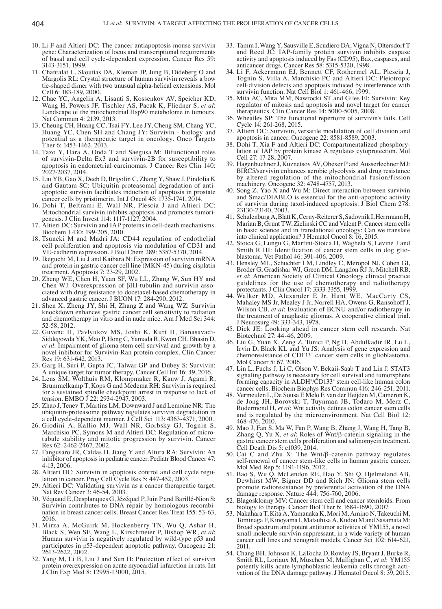- 10. Li F and Altieri DC: The cancer antiapoptosis mouse survivin gene: Characterization of locus and transcriptional requirements of basal and cell cycle-dependent expression. Cancer Res 59: 3143-3151, 1999.
- 11. Chantalat L, Skoufias DA, Kleman JP, Jung B, Dideberg O and Margolis RL: Crystal structure of human survivin reveals a bow tie-shaped dimer with two unusual alpha-helical extensions. Mol Cell 6: 183-189, 2000.
- 12. Chae YC, Angelin A, Lisanti S, Kossenkov AV, Speicher KD, Wang H, Powers JF, Tischler AS, Pacak K, Fliedner S, *et al*: Landscape of the mitochondrial Hsp90 metabolome in tumours. Nat Commun 4: 2139, 2013.
- 13. Cheung CH, Huang CC, Tsai FY, Lee JY, Cheng SM, Chang YC, Huang YC, Chen SH and Chang JY: Survivin - biology and potential as a therapeutic target in oncology. Onco Targets Ther 6: 1453-1462, 2013.
- 14. Tazo Y, Hara A, Onda T and Saegusa M: Bifunctional roles of survivin-Delta Ex3 and survivin-2B for susceptibility to apoptosis in endometrial carcinomas. J Cancer Res Clin 140: 2027-2037, 2014.
- 15. Liu YB, Gao X, Deeb D, Brigolin C, Zhang Y, Shaw J, Pindolia K and Gautam SC: Ubiquitin-proteasomal degradation of antiapoptotic survivin facilitates induction of apoptosis in prostate cancer cells by pristimerin. Int J Oncol 45: 1735-1741, 2014.
- 16. Dohi T, Beltrami E, Wall NR, Plescia J and Altieri DC: Mitochondrial survivin inhibits apoptosis and promotes tumorigenesis. J Clin Invest 114: 1117-1127, 2004.
- 17. Altieri DC: Survivin and IAP proteins in cell-death mechanisms. Biochem J 430: 199-205, 2010.
- 18. Tsuneki M and Madri JA: CD44 regulation of endothelial cell proliferation and apoptosis via modulation of CD31 and VE-cadherin expression. J Biol Chem 289: 5357-5370, 2014.
- 19. Ikeguchi M, Liu J and Kaibara N: Expression of survivin mRNA and protein in gastric cancer cell line (MKN-45) during cisplatin treatment. Apoptosis 7: 23-29, 2002.
- 20. Zheng WE, Chen H, Yuan SF, Wu LL, Zhang W, Sun HY and Chen WJ: Overexpression of βIII-tubulin and survivin associated with drug resistance to docetaxel-based chemotherapy in advanced gastric cancer. J BUON 17: 284-290, 2012.
- 21. Shen X, Zheng JY, Shi H, Zhang Z and Wang WZ: Survivin knockdown enhances gastric cancer cell sensitivity to radiation and chemotherapy in vitro and in nude mice. Am J Med Sci 344: 52-58, 2012.
- 22. Guvenc H, Pavlyukov MS, Joshi K, Kurt H, Banasavadi-Siddegowda YK, Mao P, Hong C, Yamada R, Kwon CH, Bhasin D, *et al*: Impairment of glioma stem cell survival and growth by a novel inhibitor for Survivin-Ran protein complex. Clin Cancer Res 19: 631-642, 2013.
- 23. Garg H, Suri P, Gupta JC, Talwar GP and Dubey S: Survivin: A unique target for tumor therapy. Cancer Cell Int 16: 49, 2016.
- 24. Lens SM, Wolthuis RM, Klompmaker R, Kauw J, Agami R, Brummelkamp T, Kops G and Medema RH: Survivin is required for a sustained spindle checkpoint arrest in response to lack of tension. EMBO J 22: 2934-2947, 2003.
- 25. Zhao J, Tenev T, Martins LM, Downward J and Lemoine NR: The ubiquitin-proteasome pathway regulates survivin degradation in a cell cycle-dependent manner. J Cell Sci 113: 4363-4371, 2000.
- 26. Giodini A, Kallio MJ, Wall NR, Gorbsky GJ, Tognin S, Marchisio PC, Symons M and Altieri DC: Regulation of microtubule stability and mitotic progression by survivin. Cancer Res 62: 2462-2467, 2002.
- 27. Fangusaro JR, Caldas H, Jiang Y and Altura RA: Survivin: An inhibitor of apoptosis in pediatric cancer. Pediatr Blood Cancer 47: 4-13, 2006.
- 28. Altieri DC: Survivin in apoptosis control and cell cycle regulation in cancer. Prog Cell Cycle Res 5: 447-452, 2003.
- 29. Altieri DC: Validating survivin as a cancer therapeutic target. Nat Rev Cancer 3: 46-54, 2003.
- 30. Véquaud E, Desplanques G, Jézéquel P, Juin P and Barillé-Nion S: nation in breast cancer cells. Breast Cancer Res Treat 155: 53-63, 2016.
- 31. Mirza A, McGuirk M, Hockenberry TN, Wu Q, Ashar H, Black S, Wen SF, Wang L, Kirschmeier P, Bishop WR, *et al*: Human survivin is negatively regulated by wild-type p53 and participates in p53-dependent apoptotic pathway. Oncogene 21: 2613-2622, 2002.
- 32. Yang M, Li B, Liu J and Sun H: Protection effect of survivin protein overexpression on acute myocardial infarction in rats. Int J Clin Exp Med 8: 12995-13000, 2015.
- 33. Tamm I, Wang Y, Sausville E, Scudiero DA, Vigna N, Oltersdorf T and Reed JC: IAP-family protein survivin inhibits caspase activity and apoptosis induced by Fas (CD95), Bax, caspases, and anticancer drugs. Cancer Res 58: 5315-5320, 1998.
- 34. Li F, Ackermann EJ, Bennett CF, Rothermel AL, Plescia J, Tognin S, Villa A, Marchisio PC and Altieri DC: Pleiotropic cell-division defects and apoptosis induced by interference with survivin function. Nat Cell Biol 1: 461-466, 1999.
- 35. Mita AC, Mita MM, Nawrocki ST and Giles FJ: Survivin: Key regulator of mitosis and apoptosis and novel target for cancer therapeutics. Clin Cancer Res 14: 5000-5005, 2008.
- 36. Wheatley SP: The functional repertoire of survivin's tails. Cell Cycle 14: 261-268, 2015.
- 37. Altieri DC: Survivin, versatile modulation of cell division and apoptosis in cancer. Oncogene 22: 8581-8589, 2003.
- lation of IAP by protein kinase A regulates cytoprotection. Mol Cell 27: 17-28, 2007.
- 39. Hagenbuchner J, Kuznetsov AV, Obexer P and Ausserlechner MJ: BIRC5/survivin enhances aerobic glycolysis and drug resistance by altered regulation of the mitochondrial fusion/fission machinery. Oncogene 32: 4748-4757, 2013.
- 40. Song Z, Yao X and Wu M: Direct interaction between survivin and Smac/DIABLO is essential for the anti-apoptotic activity of survivin during taxol-induced apoptosis. J Biol Chem 278: 23130-23140, 2003.
- 41. Schulenburg A, Blatt K, Cerny-Reiterer S, Sadovnik I, Herrmann H, Marian B, Grunt TW, Zielinski CC and Valent P: Cancer stem cells in basic science and in translational oncology: Can we translate into clinical application? J Hematol Oncol 8: 16, 2015.
- 42. Stoica G, Lungu G, Martini-Stoica H, Waghela S, Levine J and Smith <sup>R</sup> III: Identification of cancer stem cells in dog glio- blastoma. Vet Pathol 46: 391-406, 2009.
- 43. Hensley ML, Schuchter LM, Lindley C, Meropol NJ, Cohen GI, Broder G, Gradishar WJ, Green DM, Langdon RJ Jr, Mitchell RB, *et al*: American Society of Clinical Oncology clinical practice guidelines for the use of chemotherapy and radiotherapy protectants. J Clin Oncol 17: 3333-3355, 1999.
- 44. Walker MD, Alexander E Jr, Hunt WE, MacCarty CS, Mahaley MS Jr, Mealey J Jr, Norrell HA, Owens G, Ransohoff J, Wilson CB, *et al*: Evaluation of BCNU and/or radiotherapy in the treatment of anaplastic gliomas. A cooperative clinical trial. J Neurosurg 49: 333-343, 1978.
- 45. Dick JE: Looking ahead in cancer stem cell research. Nat Biotechnol 27: 44-46, 2009.
- 46. Liu G, Yuan X, Zeng Z, Tunici P, Ng H, Abdulkadir IR, Lu L, Irvin D, Black KL and Yu JS: Analysis of gene expression and chemoresistance of CD133+ cancer stem cells in glioblastoma. Mol Cancer 5: 67, 2006.
- 47. Lin L, Fuchs J, Li C, Olson V, Bekaii-Saab T and Lin J: STAT3 signaling pathway is necessary for cell survival and tumorsphere forming capacity in ALDH<sup>+</sup>/CD133<sup>+</sup> stem cell-like human colon cancer cells. Biochem Biophys Res Commun 416: 246-251, 2011.
- 48. Vermeulen L, De Sousa E Melo F, van der Heijden M, Cameron K, de Jong JH, Borovski T, Tuynman JB, Todaro M, Merz C, Rodermond H, *et al*: Wnt activity defines colon cancer stem cells and is regulated by the microenvironment. Nat Cell Biol 12: 468-476, 2010.
- 49. Mao J, Fan S, Ma W, Fan P, Wang B, Zhang J, Wang H, Tang B, Zhang Q, Yu X, *et al*: Roles of Wnt/β-catenin signaling in the gastric cancer stem cells proliferation and salinomycin treatment. Cell Death Dis 5: e1039, 2014.
- 50. Cai C and Zhu X: The Wnt/β-catenin pathway regulates self-renewal of cancer stem-like cells in human gastric cancer. Mol Med Rep 5: 1191-1196, 2012.
- 51. Bao S, Wu Q, McLendon RE, Hao Y, Shi Q, Hjelmeland AB, Dewhirst MW, Bigner DD and Rich JN: Glioma stem cells promote radioresistance by preferential activation of the DNA damage response. Nature 444: 756-760, 2006.
- 52. Blagosklonny MV: Cancer stem cell and cancer stemloids: From biology to therapy. Cancer Biol Ther 6: 1684-1690, 2007.
- 53. Nakahara T, Kita A, Yamanaka K, Mori M, Amino N, Takeuchi M, Tominaga F, Kinoyama I, Matsuhisa A, Kudou M and Sasamata M: Broad spectrum and potent antitumor activities of YM155, a novel small-molecule survivin suppressant, in a wide variety of human cancer cell lines and xenograft models. Cancer Sci 102: 614-621, 2011.
- 54. Chang BH, Johnson K, LaTocha D, Rowley JS, Bryant J, Burke R, Smith RL, Loriaux M, Müschen M, Mullighan C, *et al*: YM155 potently kills acute lymphoblastic leukemia cells through activation of the DNA damage pathway. J Hematol Oncol 8: 39, 2015.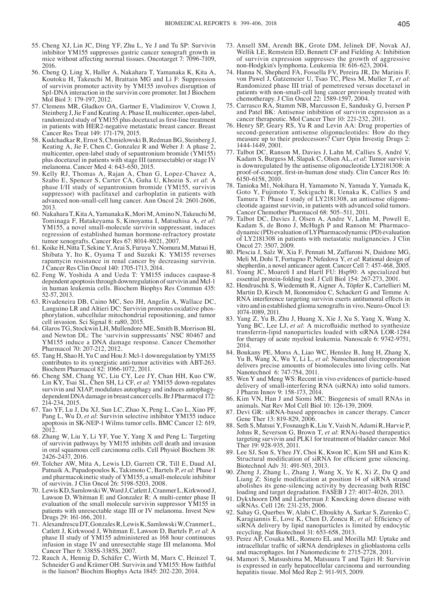- 55. Cheng XJ, Lin JC, Ding YF, Zhu L, Ye J and Tu SP: Survivin inhibitor YM155 suppresses gastric cancer xenograft growth in mice without affecting normal tissues. Oncotarget 7: 7096-7109, 2016.
- 56. Cheng Q, Ling X, Haller A, Nakahara T, Yamanaka K, Kita A, Koutoku H, Takeuchi M, Brattain MG and Li F: Suppression of survivin promoter activity by YM155 involves disruption of Sp1-DNA interaction in the survivin core promoter. Int J Biochem Mol Biol 3: 179-197, 2012.
- 57. Clemens MR, Gladkov OA, Gartner E, Vladimirov V, Crown J, Steinberg J, Jie F and Keating A: Phase II, multicenter, open-label, randomized study of YM155 plus docetaxel as first-line treatment in patients with HER2-negative metastatic breast cancer. Breast Cancer Res Treat 149: 171-179, 2015.
- 58. Kudchadkar R, Ernst S, Chmielowski B, Redman BG, Steinberg J, Keating A, Jie F, Chen C, Gonzalez R and Weber J: A phase 2, multicenter, open-label study of sepantronium bromide (YM155) plus docetaxel in patients with stage III (unresectable) or stage IV melanoma. Cancer Med 4: 643-650, 2015.
- 59. Kelly RJ, Thomas A, Rajan A, Chun G, Lopez-Chavez A, Szabo E, Spencer S, Carter CA, Guha U, Khozin S, *et al*: A phase I/II study of sepantronium bromide (YM155, survivin suppressor) with paclitaxel and carboplatin in patients with advanced non-small-cell lung cancer. Ann Oncol 24: 2601-2606, 2013.
- 60. Nakahara T, Kita A, Yamanaka K, Mori M, Amino N, TakeuchiM, Tominaga F, Hatakeyama S, Kinoyama I, Matsuhisa A, *et al*: YM155, a novel small-molecule survivin suppressant, induces regression of established human hormone-refractory prostate tumor xenografts. Cancer Res 67: 8014-8021, 2007.
- 61. Koike H, Nitta T, Sekine Y, Arai S, Furuya Y, Nomura M, Matsui H, Shibata Y, Ito K, Oyama T and Suzuki K: YM155 reverses rapamycin resistance in renal cancer by decreasing survivin. J Cancer Res Clin Oncol 140: 1705-1713, 2014.
- 62. Feng W, Yoshida A and Ueda T: YM155 induces caspase-8 dependent apoptosis through downregulation of survivin and Mcl-1 in human leukemia cells. Biochem Biophys Res Commun 435: 52-57, 2013.
- 63. Rivadeneira DB, Caino MC, Seo JH, Angelin A, Wallace DC, Languino LR and Altieri DC: Survivin promotes oxidative phosphorylation, subcellular mitochondrial repositioning, and tumor cell invasion. Sci Signal 8: ra80, 2015.
- 64. Glaros TG, Stockwin LH, Mullendore ME, Smith B, Morrison BL and Newton DL: The 'survivin suppressants' NSC 80467 and YM155 induce a DNA damage response. Cancer Chemother Pharmacol 70: 207-212, 2012.
- 65. Tang H, Shao H, Yu C and Hou J: Mcl-1 downregulation by YM155 contributes to its synergistic anti-tumor activities with ABT-263. Biochem Pharmacol 82: 1066-1072, 2011.
- 66. Cheng SM, Chang YC, Liu CY, Lee JY, Chan HH, Kuo CW, Lin KY, Tsai SL, Chen SH, Li CF, *et al*: YM155 down-regulates survivin and XIAP, modulates autophagy and induces autophagydependent DNA damage in breast cancer cells. Br J Pharmacol 172: 214-234, 2015.
- 67. Tao YF, Lu J, Du XJ, Sun LC, Zhao X, Peng L, Cao L, Xiao PF, Pang L, Wu D, *et al*: Survivin selective inhibitor YM155 induce apoptosis in SK-NEP-1 Wilms tumor cells. BMC Cancer 12: 619, 2012.
- 68. Zhang W, Liu Y, Li YF, Yue Y, Yang X and Peng L: Targeting of survivin pathways by YM155 inhibits cell death and invasion in oral squamous cell carcinoma cells. Cell Physiol Biochem 38: 2426-2437, 2016.
- 69. Tolcher AW, Mita A, Lewis LD, Garrett CR, Till E, Daud AI, Patnaik A, Papadopoulos K, Takimoto C, Bartels P, *et al*: Phase I and pharmacokinetic study of YM155, a small-molecule inhibitor of survivin. J Clin Oncol 26: 5198-5203, 2008.
- 70. Lewis KD, Samlowski W, Ward J, Catlett J, Cranmer L, Kirkwood J, Lawson D, Whitman E and Gonzalez R: A multi-center phase II evaluation of the small molecule survivin suppressor YM155 in patients with unresectable stage III or IV melanoma. Invest New Drugs 29: 161-166, 2011.
- 71. Alexandrescu DT, Gonzales R, Lewis K, Samlowski W, CranmerL, Catlett J, Kirkwood J, Whitman E, Lawson D, Bartels P, *et al*: A phase II study of YM155 administered as 168 hour continuous infusion in stage IV and unresectable stage III melanoma. Mol Cancer Ther 6: 3385S-3385S, 2007.
- 72. Rauch A, Hennig D, Schäfer C, Wirth M, Marx C, Heinzel T, Schneider G and Krämer OH: Survivin and YM155: How faithful is the liaison? Biochim Biophys Acta 1845: 202-220, 2014.
- 73. Ansell SM, Arendt BK, Grote DM, Jelinek DF, Novak AJ, Wellik LE, Remstein ED, Bennett CF and Fielding A: Inhibition of survivin expression suppresses the growth of aggressive non-Hodgkin's lymphoma. Leukemia 18: 616-623, 2004.
- 74. Hanna N, Shepherd FA, Fossella FV, Pereira JR, De Marinis F, von Pawel J, Gatzemeier U, Tsao TC, Pless M, Muller T, *et al*: Randomized phase III trial of pemetrexed versus docetaxel in patients with non-small-cell lung cancer previously treated with chemotherapy. J Clin Oncol 22: 1589-1597, 2004.
- 75. Carrasco RA, Stamm NB, Marcusson E, Sandusky G, Iversen P and Patel BK: Antisense inhibition of survivin expression as a cancer therapeutic. Mol Cancer Ther 10: 221-232, 2011.
- 76. Henry SP, Geary RS, Yu R and Levin AA: Drug properties of second-generation antisense oligonucleotides: How do they measure up to their predecessors? Curr Opin Investig Drugs 2: 1444-1449, 2001.
- 77. Talbot DC, Ranson M, Davies J, Lahn M, Callies S, André V, Kadam S, Burgess M, Slapak C, Olsen AL, *et al*: Tumor survivin is downregulated by the antisense oligonucleotide LY2181308: A proof-of-concept, first-in-human dose study. Clin Cancer Res 16: 6150-6158, 2010.
- 78. Tanioka M1, Nokihara H, Yamamoto N, Yamada Y, Yamada K, Goto Y, Fujimoto T, Sekiguchi R, Uenaka K, Callies S and Tamura T: Phase I study of LY2181308, an antisense oligonucleotide against survivin, in patients with advanced solid tumors. Cancer Chemother Pharmacol 68: 505–511, 2011.
- 79. Talbot DC, Davies J, Olsen A, Andre V, Lahn M, Powell E, dynamic (PD) evaluation of LYPharmacodynamic (PD) evaluation of LY2181308 in patients with metastatic malignancies. J Clin Oncol 27: 3507, 2009.
- 80. Plescia J, Salz W, Xia F, Pennati M, Zaffaroni N, Daidone MG, Meli M, Dohi T, Fortugno P, Nefedova Y, *et al*: Rational design of shepherdin, a novel anticancer agent. Cancer Cell 7: 457-468, 2005.
- 81. Young JC, Moarefi I and Hartl FU: Hsp90: A specialized but essential protein-folding tool. J Cell Biol 154: 267-273, 2001.
- 82. Hendruschk S, Wiedemuth R, Aigner A, Töpfer K, Cartellieri M, Martin D, Kirsch M, Ikonomidou C, Schackert G and Temme A: RNA interference targeting survivin exerts antitumoral effects in vitro and in established glioma xenografts in vivo. Neuro-Oncol 13: 1074-1089, 2011.
- 83. Yang Z, Yu B, Zhu J, Huang X, Xie J, Xu S, Yang X, Wang X, Yung BC, Lee LJ, *et al*: A microfluidic method to synthesize transferrin-lipid nanoparticles loaded with siRNA LOR-1284 for therapy of acute myeloid leukemia. Nanoscale 6: 9742-9751, 2014.
- 84. Boukany PE, Morss A, Liao WC, Henslee B, Jung H, Zhang X, Yu B, Wang X, Wu Y, Li L, *et al*: Nanochannel electroporation delivers precise amounts of biomolecules into living cells. Nat Nanotechnol 6: 747-754, 2011.
- 85. Wen Y and Meng WS: Recent in vivo evidences of particle-based delivery of small-interfering RNA (siRNA) into solid tumors. J Pharm Innov 9: 158-173, 2014.
- 86. Kim VN, Han J and Siomi MC: Biogenesis of small RNAs in animals. Nat Rev Mol Cell Biol 10: 126-139, 2009.
- 87. Devi GR: siRNA-based approaches in cancer therapy. Cancer Gene Ther 13: 819-829, 2006.
- 88. Seth S, Matsui Y, Fosnaugh K, Liu Y, Vaish N, Adami R, Harvie P, Johns R, Severson G, Brown T, *et al*: RNAi-based therapeutics targeting survivin and PLK1 for treatment of bladder cancer. Mol Ther 19: 928-935, 2011.
- 89. Lee SJ, Son S, Yhee JY, Choi K, Kwon IC, Kim SH and Kim K: Structural modification of siRNA for efficient gene silencing. Biotechnol Adv 31: 491-503, 2013.
- 90. Zheng J, Zhang L, Zhang J, Wang X, Ye K, Xi Z, Du Q and Liang Z: Single modification at position 14 of siRNA strand abolishes its gene-silencing activity by decreasing both RISC loading and target degradation. FASEB J 27: 4017-4026, 2013.
- 91. Dykxhoorn DM and Lieberman J: Knocking down disease with siRNAs. Cell 126: 231-235, 2006.
- 92. Sahay G, Querbes W, Alabi C, Eltoukhy A, Sarkar S, Zurenko C, Karagiannis E, Love K, Chen D, Zoncu R, *et al*: Efficiency of siRNA delivery by lipid nanoparticles is limited by endocytic recycling. Nat Biotechnol 31: 653-658, 2013.
- 93. Perez AP, Cosaka ML, Romero EL and Morilla MJ: Uptake and intracellular traffic of siRNA dendriplexes in glioblastoma cells and macrophages. Int J Nanomedicine 6: 2715-2728, 2011.
- 94. Mamori S, Matsushima M, Matsuura T and Tajiri H: Survivin is expressed in early hepatocellular carcinoma and surrounding hepatitis tissue. Mol Med Rep 2: 911-915, 2009.